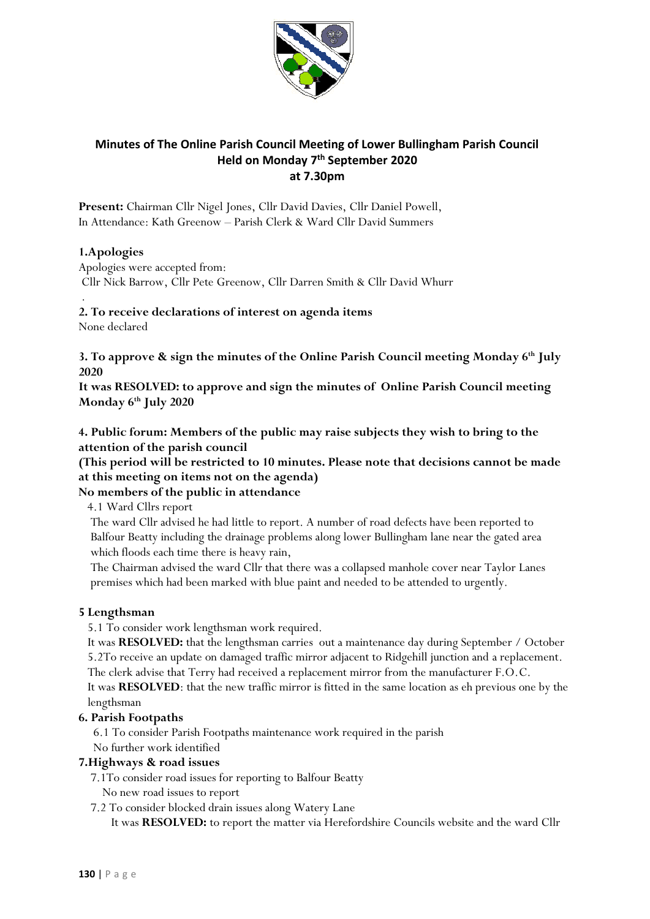

# **Minutes of The Online Parish Council Meeting of Lower Bullingham Parish Council Held on Monday 7 th September 2020 at 7.30pm**

**Present:** Chairman Cllr Nigel Jones, Cllr David Davies, Cllr Daniel Powell, In Attendance: Kath Greenow – Parish Clerk & Ward Cllr David Summers

# **1.Apologies**

Apologies were accepted from: Cllr Nick Barrow, Cllr Pete Greenow, Cllr Darren Smith & Cllr David Whurr

### . **2. To receive declarations of interest on agenda items**

None declared

**3. To approve & sign the minutes of the Online Parish Council meeting Monday 6th July 2020** 

**It was RESOLVED: to approve and sign the minutes of Online Parish Council meeting Monday 6th July 2020** 

**4. Public forum: Members of the public may raise subjects they wish to bring to the attention of the parish council**

**(This period will be restricted to 10 minutes. Please note that decisions cannot be made at this meeting on items not on the agenda)**

# **No members of the public in attendance**

4.1 Ward Cllrs report

 The ward Cllr advised he had little to report. A number of road defects have been reported to Balfour Beatty including the drainage problems along lower Bullingham lane near the gated area which floods each time there is heavy rain,

 The Chairman advised the ward Cllr that there was a collapsed manhole cover near Taylor Lanes premises which had been marked with blue paint and needed to be attended to urgently.

# **5 Lengthsman**

5.1 To consider work lengthsman work required.

 It was **RESOLVED:** that the lengthsman carries out a maintenance day during September / October 5.2To receive an update on damaged traffic mirror adjacent to Ridgehill junction and a replacement. The clerk advise that Terry had received a replacement mirror from the manufacturer F.O.C.

 It was **RESOLVED**: that the new traffic mirror is fitted in the same location as eh previous one by the lengthsman

# **6. Parish Footpaths**

6.1 To consider Parish Footpaths maintenance work required in the parish

# No further work identified

#### **7.Highways & road issues**

7.1To consider road issues for reporting to Balfour Beatty

- No new road issues to report
- 7.2 To consider blocked drain issues along Watery Lane

It was **RESOLVED:** to report the matter via Herefordshire Councils website and the ward Cllr